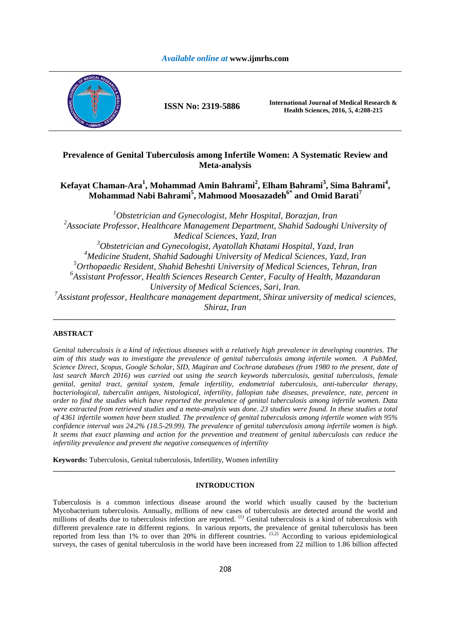# *Available online at* **www.ijmrhs.com**



**ISSN No: 2319-5886 International Journal of Medical Research & Health Sciences, 2016, 5, 4:208-215** 

# **Prevalence of Genital Tuberculosis among Infertile Women: A Systematic Review and Meta-analysis**

# **Kefayat Chaman-Ara<sup>1</sup> , Mohammad Amin Bahrami<sup>2</sup> , Elham Bahrami<sup>3</sup> , Sima Bahrami<sup>4</sup> , Mohammad Nabi Bahrami<sup>5</sup> , Mahmood Moosazadeh6\* and Omid Barati<sup>7</sup>**

*Obstetrician and Gynecologist, Mehr Hospital, Borazjan, Iran Associate Professor, Healthcare Management Department, Shahid Sadoughi University of Medical Sciences, Yazd, Iran Obstetrician and Gynecologist, Ayatollah Khatami Hospital, Yazd, Iran Medicine Student, Shahid Sadoughi University of Medical Sciences, Yazd, Iran Orthopaedic Resident, Shahid Beheshti University of Medical Sciences, Tehran, Iran Assistant Professor, Health Sciences Research Center, Faculty of Health, Mazandaran University of Medical Sciences, Sari, Iran. Assistant professor, Healthcare management department, Shiraz university of medical sciences, Shiraz, Iran* 

**\_\_\_\_\_\_\_\_\_\_\_\_\_\_\_\_\_\_\_\_\_\_\_\_\_\_\_\_\_\_\_\_\_\_\_\_\_\_\_\_\_\_\_\_\_\_\_\_\_\_\_\_\_\_\_\_\_\_\_\_\_\_\_\_\_\_\_\_\_\_\_\_\_\_\_\_\_\_\_\_\_\_\_\_\_\_\_\_\_\_\_\_\_** 

# **ABSTRACT**

*Genital tuberculosis is a kind of infectious diseases with a relatively high prevalence in developing countries. The aim of this study was to investigate the prevalence of genital tuberculosis among infertile women. A PubMed, Science Direct, Scopus, Google Scholar, SID, Magiran and Cochrane databases (from 1980 to the present, date of*  last search March 2016) was carried out using the search keywords tuberculosis, genital tuberculosis, female *genital, genital tract, genital system, female infertility, endometrial tuberculosis, anti-tubercular therapy, bacteriological, tuberculin antigen, histological, infertility, fallopian tube diseases, prevalence, rate, percent in order to find the studies which have reported the prevalence of genital tuberculosis among infertile women. Data were extracted from retrieved studies and a meta-analysis was done. 23 studies were found. In these studies a total of 4361 infertile women have been studied. The prevalence of genital tuberculosis among infertile women with 95% confidence interval was 24.2% (18.5-29.99). The prevalence of genital tuberculosis among infertile women is high. It seems that exact planning and action for the prevention and treatment of genital tuberculosis can reduce the infertility prevalence and prevent the negative consequences of infertility* 

**Keywords:** Tuberculosis, Genital tuberculosis, Infertility, Women infertility

## **INTRODUCTION**

**\_\_\_\_\_\_\_\_\_\_\_\_\_\_\_\_\_\_\_\_\_\_\_\_\_\_\_\_\_\_\_\_\_\_\_\_\_\_\_\_\_\_\_\_\_\_\_\_\_\_\_\_\_\_\_\_\_\_\_\_\_\_\_\_\_\_\_\_\_\_\_\_\_\_\_\_\_\_\_\_\_\_\_\_\_\_\_\_\_\_\_\_\_** 

Tuberculosis is a common infectious disease around the world which usually caused by the bacterium Mycobacterium tuberculosis. Annually, millions of new cases of tuberculosis are detected around the world and millions of deaths due to tuberculosis infection are reported. <sup>(1)</sup> Genital tuberculosis is a kind of tuberculosis with different prevalence rate in different regions. In various reports, the prevalence of genital tuberculosis has been reported from less than 1% to over than 20% in different countries.<sup>(1,2)</sup> According to various epidemiological surveys, the cases of genital tuberculosis in the world have been increased from 22 million to 1.86 billion affected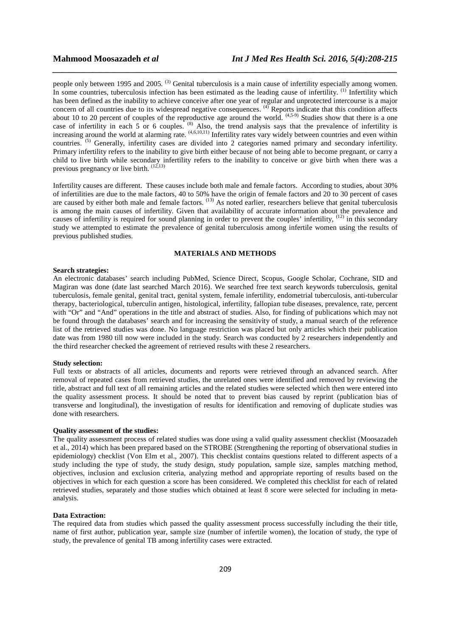people only between 1995 and 2005. <sup>(3)</sup> Genital tuberculosis is a main cause of infertility especially among women. In some countries, tuberculosis infection has been estimated as the leading cause of infertility. (1) Infertility which has been defined as the inability to achieve conceive after one year of regular and unprotected intercourse is a major concern of all countries due to its widespread negative consequences. <sup>(4)</sup> Reports indicate that this condition affects about 10 to 20 percent of couples of the reproductive age around the world. <sup>(4,5-9)</sup> Studies show that there is a one case of infertility in each  $5$  or  $6$  couples. <sup>(8)</sup> Also, the trend analysis says that the prevalence of infertility is increasing around the world at alarming rate. <sup>(4,6,10,11)</sup> Infertility rates vary widely between countries and even within countries. (5) Generally, infertility cases are divided into 2 categories named primary and secondary infertility. Primary infertility refers to the inability to give birth either because of not being able to become pregnant, or carry a child to live birth while secondary infertility refers to the inability to conceive or give birth when there was a previous pregnancy or live birth.  $(12,13)$ 

*\_\_\_\_\_\_\_\_\_\_\_\_\_\_\_\_\_\_\_\_\_\_\_\_\_\_\_\_\_\_\_\_\_\_\_\_\_\_\_\_\_\_\_\_\_\_\_\_\_\_\_\_\_\_\_\_\_\_\_\_\_\_\_\_\_\_\_\_\_\_\_\_\_\_\_\_\_\_*

Infertility causes are different. These causes include both male and female factors. According to studies, about 30% of infertilities are due to the male factors, 40 to 50% have the origin of female factors and 20 to 30 percent of cases are caused by either both male and female factors. <sup>(13)</sup> As noted earlier, researchers believe that genital tuberculosis is among the main causes of infertility. Given that availability of accurate information about the prevalence and causes of infertility is required for sound planning in order to prevent the couples' infertility,  $(12)$  in this secondary study we attempted to estimate the prevalence of genital tuberculosis among infertile women using the results of previous published studies.

# **MATERIALS AND METHODS**

### **Search strategies:**

An electronic databases' search including PubMed, Science Direct, Scopus, Google Scholar, Cochrane, SID and Magiran was done (date last searched March 2016). We searched free text search keywords tuberculosis, genital tuberculosis, female genital, genital tract, genital system, female infertility, endometrial tuberculosis, anti-tubercular therapy, bacteriological, tuberculin antigen, histological, infertility, fallopian tube diseases, prevalence, rate, percent with "Or" and "And" operations in the title and abstract of studies. Also, for finding of publications which may not be found through the databases' search and for increasing the sensitivity of study, a manual search of the reference list of the retrieved studies was done. No language restriction was placed but only articles which their publication date was from 1980 till now were included in the study. Search was conducted by 2 researchers independently and the third researcher checked the agreement of retrieved results with these 2 researchers.

### **Study selection:**

Full texts or abstracts of all articles, documents and reports were retrieved through an advanced search. After removal of repeated cases from retrieved studies, the unrelated ones were identified and removed by reviewing the title, abstract and full text of all remaining articles and the related studies were selected which then were entered into the quality assessment process. It should be noted that to prevent bias caused by reprint (publication bias of transverse and longitudinal), the investigation of results for identification and removing of duplicate studies was done with researchers.

### **Quality assessment of the studies:**

The quality assessment process of related studies was done using a valid quality assessment checklist (Moosazadeh et al., 2014) which has been prepared based on the STROBE (Strengthening the reporting of observational studies in epidemiology) checklist (Von Elm et al., 2007). This checklist contains questions related to different aspects of a study including the type of study, the study design, study population, sample size, samples matching method, objectives, inclusion and exclusion criteria, analyzing method and appropriate reporting of results based on the objectives in which for each question a score has been considered. We completed this checklist for each of related retrieved studies, separately and those studies which obtained at least 8 score were selected for including in metaanalysis.

## **Data Extraction:**

The required data from studies which passed the quality assessment process successfully including the their title, name of first author, publication year, sample size (number of infertile women), the location of study, the type of study, the prevalence of genital TB among infertility cases were extracted.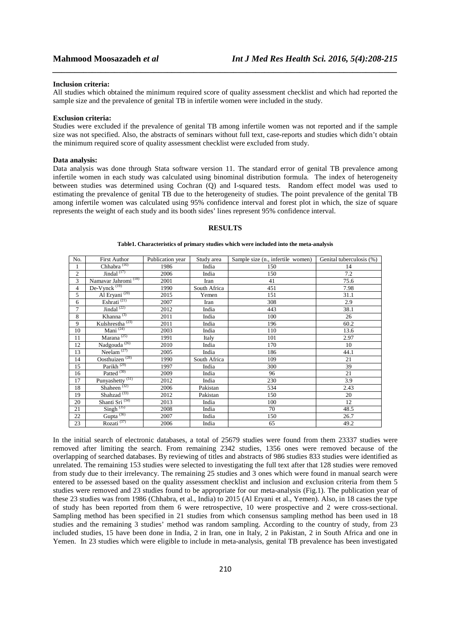### **Inclusion criteria:**

All studies which obtained the minimum required score of quality assessment checklist and which had reported the sample size and the prevalence of genital TB in infertile women were included in the study.

*\_\_\_\_\_\_\_\_\_\_\_\_\_\_\_\_\_\_\_\_\_\_\_\_\_\_\_\_\_\_\_\_\_\_\_\_\_\_\_\_\_\_\_\_\_\_\_\_\_\_\_\_\_\_\_\_\_\_\_\_\_\_\_\_\_\_\_\_\_\_\_\_\_\_\_\_\_\_*

### **Exclusion criteria:**

Studies were excluded if the prevalence of genital TB among infertile women was not reported and if the sample size was not specified. Also, the abstracts of seminars without full text, case-reports and studies which didn't obtain the minimum required score of quality assessment checklist were excluded from study.

### **Data analysis:**

Data analysis was done through Stata software version 11. The standard error of genital TB prevalence among infertile women in each study was calculated using binominal distribution formula. The index of heterogeneity between studies was determined using Cochran (Q) and I-squared tests. Random effect model was used to estimating the prevalence of genital TB due to the heterogeneity of studies. The point prevalence of the genital TB among infertile women was calculated using 95% confidence interval and forest plot in which, the size of square represents the weight of each study and its booth sides' lines represent 95% confidence interval.

### **RESULTS**

**Table1. Characteristics of primary studies which were included into the meta-analysis** 

| No.            | <b>First Author</b>             | Publication year | Study area   | Sample size (n., infertile women) | Genital tuberculosis (%) |
|----------------|---------------------------------|------------------|--------------|-----------------------------------|--------------------------|
| 1              | Chhabra <sup>(16)</sup>         | 1986             | India        | 150                               | 14                       |
| $\overline{c}$ | Jindal $(17)$                   | 2006             | India        | 150                               | 7.2                      |
| 3              | Namavar Jahromi <sup>(18)</sup> | 2001             | Iran         | 41                                | 75.6                     |
| $\overline{4}$ | De-Vynck $(19)$                 | 1990             | South Africa | 451                               | 7.98                     |
| 5              | Al Eryani <sup>(20)</sup>       | 2015             | Yemen        | 151                               | 31.1                     |
| 6              | Eshrati <sup>(21)</sup>         | 2007             | Iran         | 308                               | 2.9                      |
| 7              | Jindal $^{(22)}$                | 2012             | India        | 443                               | 38.1                     |
| 8              | $K$ hanna <sup>(3)</sup>        | 2011             | India        | 100                               | 26                       |
| 9              | Kulshrestha <sup>(23)</sup>     | 2011             | India        | 196                               | 60.2                     |
| 10             | Mani $^{(24)}$                  | 2003             | India        | 110                               | 13.6                     |
| 11             | Marana <sup>(25)</sup>          | 1991             | Italy        | 101                               | 2.97                     |
| 12             | Nadgouda <sup>(26)</sup>        | 2010             | India        | 170                               | 10                       |
| 13             | Neelam $(27)$                   | 2005             | India        | 186                               | 44.1                     |
| 14             | Oosthuizen <sup>(28)</sup>      | 1990             | South Africa | 109                               | 21                       |
| 15             | Parikh <sup>(29)</sup>          | 1997             | India        | 300                               | 39                       |
| 16             | Patted <sup>(30)</sup>          | 2009             | India        | 96                                | 21                       |
| 17             | Punyashetty <sup>(31)</sup>     | 2012             | India        | 230                               | 3.9                      |
| 18             | Shaheen $(32)$                  | 2006             | Pakistan     | 534                               | 2.43                     |
| 19             | Shahzad <sup>(33)</sup>         | 2012             | Pakistan     | 150                               | 20                       |
| 20             | Shanti Sri <sup>(34)</sup>      | 2013             | India        | 100                               | 12                       |
| 21             | Singh $(35)$                    | 2008             | India        | 70                                | 48.5                     |
| 22             | Gupta $(36)$                    | 2007             | India        | 150                               | 26.7                     |
| 23             | Rozati $(37)$                   | 2006             | India        | 65                                | 49.2                     |

In the initial search of electronic databases, a total of 25679 studies were found from them 23337 studies were removed after limiting the search. From remaining 2342 studies, 1356 ones were removed because of the overlapping of searched databases. By reviewing of titles and abstracts of 986 studies 833 studies were identified as unrelated. The remaining 153 studies were selected to investigating the full text after that 128 studies were removed from study due to their irrelevancy. The remaining 25 studies and 3 ones which were found in manual search were entered to be assessed based on the quality assessment checklist and inclusion and exclusion criteria from them 5 studies were removed and 23 studies found to be appropriate for our meta-analysis (Fig.1). The publication year of these 23 studies was from 1986 (Chhabra, et al., India) to 2015 (Al Eryani et al., Yemen). Also, in 18 cases the type of study has been reported from them 6 were retrospective, 10 were prospective and 2 were cross-sectional. Sampling method has been specified in 21 studies from which consensus sampling method has been used in 18 studies and the remaining 3 studies' method was random sampling. According to the country of study, from 23 included studies, 15 have been done in India, 2 in Iran, one in Italy, 2 in Pakistan, 2 in South Africa and one in Yemen. In 23 studies which were eligible to include in meta-analysis, genital TB prevalence has been investigated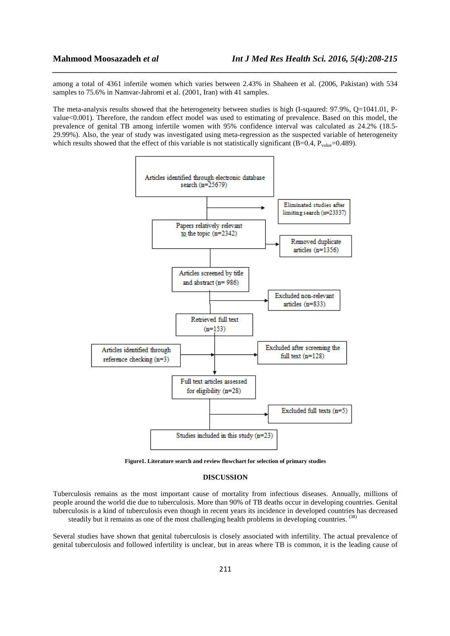among a total of 4361 infertile women which varies between 2.43% in Shaheen et al. (2006, Pakistan) with 534 samples to 75.6% in Namvar-Jahromi et al. (2001, Iran) with 41 samples.

*\_\_\_\_\_\_\_\_\_\_\_\_\_\_\_\_\_\_\_\_\_\_\_\_\_\_\_\_\_\_\_\_\_\_\_\_\_\_\_\_\_\_\_\_\_\_\_\_\_\_\_\_\_\_\_\_\_\_\_\_\_\_\_\_\_\_\_\_\_\_\_\_\_\_\_\_\_\_*

The meta-analysis results showed that the heterogeneity between studies is high (I-sqaured: 97.9%, Q=1041.01, Pvalue<0.001). Therefore, the random effect model was used to estimating of prevalence. Based on this model, the prevalence of genital TB among infertile women with 95% confidence interval was calculated as 24.2% (18.5- 29.99%). Also, the year of study was investigated using meta-regression as the suspected variable of heterogeneity which results showed that the effect of this variable is not statistically significant (B=0.4,  $P_{value}$ =0.489).



**Figure1. Literature search and review flowchart for selection of primary studies**

# **DISCUSSION**

Tuberculosis remains as the most important cause of mortality from infectious diseases. Annually, millions of people around the world die due to tuberculosis. More than 90% of TB deaths occur in developing countries. Genital tuberculosis is a kind of tuberculosis even though in recent years its incidence in developed countries has decreased steadily but it remains as one of the most challenging health problems in developing countries. <sup>(38)</sup>

Several studies have shown that genital tuberculosis is closely associated with infertility. The actual prevalence of genital tuberculosis and followed infertility is unclear, but in areas where TB is common, it is the leading cause of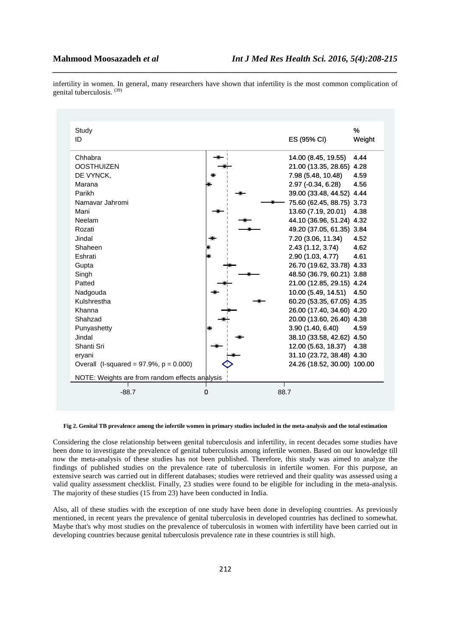infertility in women. In general, many researchers have shown that infertility is the most common complication of genital tuberculosis. (39)

*\_\_\_\_\_\_\_\_\_\_\_\_\_\_\_\_\_\_\_\_\_\_\_\_\_\_\_\_\_\_\_\_\_\_\_\_\_\_\_\_\_\_\_\_\_\_\_\_\_\_\_\_\_\_\_\_\_\_\_\_\_\_\_\_\_\_\_\_\_\_\_\_\_\_\_\_\_\_*

| Study<br>ID                                    |   | ES (95% CI)                 | %<br>Weight |
|------------------------------------------------|---|-----------------------------|-------------|
| Chhabra                                        |   | 14.00 (8.45, 19.55)         | 4.44        |
| <b>OOSTHUIZEN</b>                              |   | 21.00 (13.35, 28.65) 4.28   |             |
| DE VYNCK,                                      |   | 7.98 (5.48, 10.48)          | 4.59        |
| Marana                                         |   | 2.97 (-0.34, 6.28)          | 4.56        |
| Parikh                                         |   | 39.00 (33.48, 44.52) 4.44   |             |
| Namavar Jahromi                                |   | 75.60 (62.45, 88.75) 3.73   |             |
| Mani                                           |   | 13.60 (7.19, 20.01)         | 4.38        |
| Neelam                                         |   | 44.10 (36.96, 51.24) 4.32   |             |
| Rozati                                         |   | 49.20 (37.05, 61.35) 3.84   |             |
| Jindal                                         |   | 7.20 (3.06, 11.34)          | 4.52        |
| Shaheen                                        |   | 2.43 (1.12, 3.74)           | 4.62        |
| Eshrati                                        |   | 2.90 (1.03, 4.77)           | 4.61        |
| Gupta                                          |   | 26.70 (19.62, 33.78) 4.33   |             |
| Singh                                          |   | 48.50 (36.79, 60.21) 3.88   |             |
| Patted                                         |   | 21.00 (12.85, 29.15) 4.24   |             |
| Nadgouda                                       |   | 10.00 (5.49, 14.51)         | 4.50        |
| Kulshrestha                                    |   | 60.20 (53.35, 67.05) 4.35   |             |
| Khanna                                         |   | 26.00 (17.40, 34.60) 4.20   |             |
| Shahzad                                        |   | 20.00 (13.60, 26.40) 4.38   |             |
| Punyashetty                                    |   | 3.90(1.40, 6.40)            | 4.59        |
| Jindal                                         |   | 38.10 (33.58, 42.62) 4.50   |             |
| Shanti Sri                                     |   | 12.00 (5.63, 18.37)         | 4.38        |
| eryani                                         |   | 31.10 (23.72, 38.48) 4.30   |             |
| Overall (I-squared = $97.9\%$ , $p = 0.000$ )  |   | 24.26 (18.52, 30.00) 100.00 |             |
| NOTE: Weights are from random effects analysis |   |                             |             |
| $-88.7$                                        | 0 | 88.7                        |             |

### **Fig 2. Genital TB prevalence among the infertile women in primary studies included in the meta-analysis and the total estimation**

Considering the close relationship between genital tuberculosis and infertility, in recent decades some studies have been done to investigate the prevalence of genital tuberculosis among infertile women. Based on our knowledge till now the meta-analysis of these studies has not been published. Therefore, this study was aimed to analyze the findings of published studies on the prevalence rate of tuberculosis in infertile women. For this purpose, an extensive search was carried out in different databases; studies were retrieved and their quality was assessed using a valid quality assessment checklist. Finally, 23 studies were found to be eligible for including in the meta-analysis. The majority of these studies (15 from 23) have been conducted in India.

Also, all of these studies with the exception of one study have been done in developing countries. As previously mentioned, in recent years the prevalence of genital tuberculosis in developed countries has declined to somewhat. Maybe that's why most studies on the prevalence of tuberculosis in women with infertility have been carried out in developing countries because genital tuberculosis prevalence rate in these countries is still high.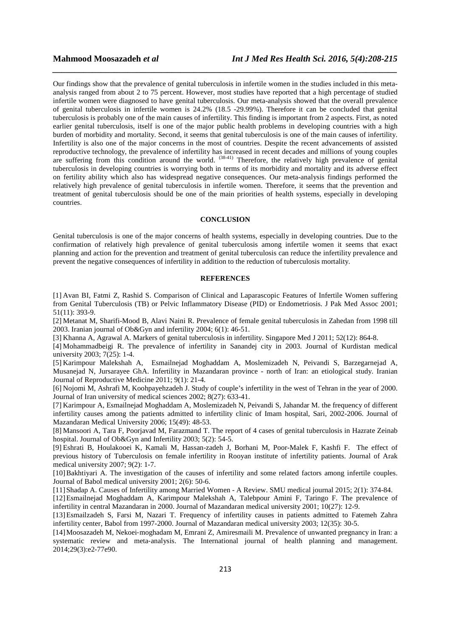Our findings show that the prevalence of genital tuberculosis in infertile women in the studies included in this metaanalysis ranged from about 2 to 75 percent. However, most studies have reported that a high percentage of studied infertile women were diagnosed to have genital tuberculosis. Our meta-analysis showed that the overall prevalence of genital tuberculosis in infertile women is 24.2% (18.5 -29.99%). Therefore it can be concluded that genital tuberculosis is probably one of the main causes of infertility. This finding is important from 2 aspects. First, as noted earlier genital tuberculosis, itself is one of the major public health problems in developing countries with a high burden of morbidity and mortality. Second, it seems that genital tuberculosis is one of the main causes of infertility. Infertility is also one of the major concerns in the most of countries. Despite the recent advancements of assisted reproductive technology, the prevalence of infertility has increased in recent decades and millions of young couples are suffering from this condition around the world. <sup>(38-41)</sup> Therefore, the relatively high prevalence of genital tuberculosis in developing countries is worrying both in terms of its morbidity and mortality and its adverse effect on fertility ability which also has widespread negative consequences. Our meta-analysis findings performed the relatively high prevalence of genital tuberculosis in infertile women. Therefore, it seems that the prevention and treatment of genital tuberculosis should be one of the main priorities of health systems, especially in developing countries.

*\_\_\_\_\_\_\_\_\_\_\_\_\_\_\_\_\_\_\_\_\_\_\_\_\_\_\_\_\_\_\_\_\_\_\_\_\_\_\_\_\_\_\_\_\_\_\_\_\_\_\_\_\_\_\_\_\_\_\_\_\_\_\_\_\_\_\_\_\_\_\_\_\_\_\_\_\_\_*

# **CONCLUSION**

Genital tuberculosis is one of the major concerns of health systems, especially in developing countries. Due to the confirmation of relatively high prevalence of genital tuberculosis among infertile women it seems that exact planning and action for the prevention and treatment of genital tuberculosis can reduce the infertility prevalence and prevent the negative consequences of infertility in addition to the reduction of tuberculosis mortality.

### **REFERENCES**

[1] Avan BI, Fatmi Z, Rashid S. Comparison of Clinical and Laparascopic Features of Infertile Women suffering from Genital Tuberculosis (TB) or Pelvic Inflammatory Disease (PID) or Endometriosis. J Pak Med Assoc 2001; 51(11): 393-9.

[2] Metanat M, Sharifi-Mood B, Alavi Naini R. Prevalence of female genital tuberculosis in Zahedan from 1998 till 2003. Iranian journal of Ob&Gyn and infertility 2004; 6(1): 46-51.

[3] Khanna A, Agrawal A. Markers of genital tuberculosis in infertility. Singapore Med J 2011; 52(12): 864-8.

[4] Mohammadbeigi R. The prevalence of infertility in Sanandej city in 2003. Journal of Kurdistan medical university 2003; 7(25): 1-4.

[5] Karimpour Malekshah A, Esmailnejad Moghaddam A, Moslemizadeh N, Peivandi S, Barzegarnejad A, Musanejad N, Jursarayee GhA. Infertility in Mazandaran province - north of Iran: an etiological study. Iranian Journal of Reproductive Medicine 2011; 9(1): 21-4.

[6] Nojomi M, Ashrafi M, Koohpayehzadeh J. Study of couple's infertility in the west of Tehran in the year of 2000. Journal of Iran university of medical sciences 2002; 8(27): 633-41.

[7] Karimpour A, Esmailnejad Moghaddam A, Moslemizadeh N, Peivandi S, Jahandar M. the frequency of different infertility causes among the patients admitted to infertility clinic of Imam hospital, Sari, 2002-2006. Journal of Mazandaran Medical University 2006; 15(49): 48-53.

[8] Mansoori A, Tara F, Poorjavad M, Farazmand T. The report of 4 cases of genital tuberculosis in Hazrate Zeinab hospital. Journal of Ob&Gyn and Infertility 2003; 5(2): 54-5.

[9] Eshrati B, Houlakooei K, Kamali M, Hassan-zadeh J, Borhani M, Poor-Malek F, Kashfi F. The effect of previous history of Tuberculosis on female infertility in Rooyan institute of infertility patients. Journal of Arak medical university 2007; 9(2): 1-7.

[10]Bakhtiyari A. The investigation of the causes of infertility and some related factors among infertile couples. Journal of Babol medical university 2001; 2(6): 50-6.

[11]Shadap A. Causes of Infertility among Married Women - A Review. SMU medical journal 2015; 2(1): 374-84.

[12]Esmailnejad Moghaddam A, Karimpour Malekshah A, Talebpour Amini F, Taringo F. The prevalence of infertility in central Mazandaran in 2000. Journal of Mazandaran medical university 2001; 10(27): 12-9.

[13]Esmailzadeh S, Farsi M, Nazari T. Frequency of infertility causes in patients admitted to Fatemeh Zahra infertility center, Babol from 1997-2000. Journal of Mazandaran medical university 2003; 12(35): 30-5.

[14]Moosazadeh M, Nekoei‐moghadam M, Emrani Z, Amiresmaili M. Prevalence of unwanted pregnancy in Iran: a systematic review and meta-analysis. The International journal of health planning and management. 2014;29(3):e2-77e90.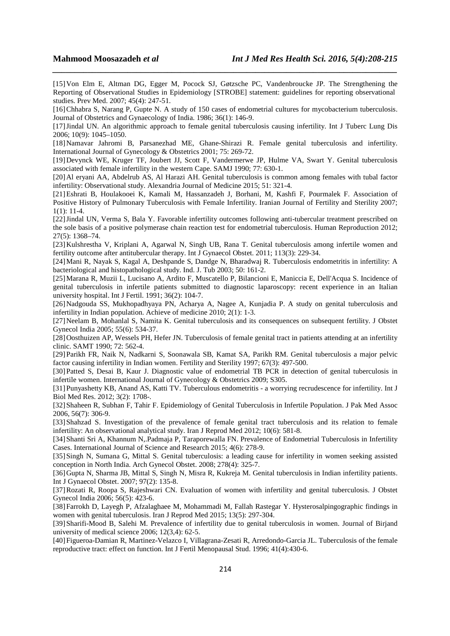[15]Von Elm E, Altman DG, Egger M, Pocock SJ, Gøtzsche PC, Vandenbroucke JP. The Strengthening the Reporting of Observational Studies in Epidemiology [STROBE] statement: guidelines for reporting observational studies. Prev Med. 2007; 45(4): 247-51.

*\_\_\_\_\_\_\_\_\_\_\_\_\_\_\_\_\_\_\_\_\_\_\_\_\_\_\_\_\_\_\_\_\_\_\_\_\_\_\_\_\_\_\_\_\_\_\_\_\_\_\_\_\_\_\_\_\_\_\_\_\_\_\_\_\_\_\_\_\_\_\_\_\_\_\_\_\_\_*

[16]Chhabra S, Narang P, Gupte N. A study of 150 cases of endometrial cultures for mycobacterium tuberculosis. Journal of Obstetrics and Gynaecology of India. 1986; 36(1): 146-9.

[17]Jindal UN. An algorithmic approach to female genital tuberculosis causing infertility. Int J Tuberc Lung Dis 2006; 10(9): 1045–1050.

[18]Namavar Jahromi B, Parsanezhad ME, Ghane-Shirazi R. Female genital tuberculosis and infertility. International Journal of Gynecology & Obstetrics 2001; 75: 269-72.

[19]Devynck WE, Kruger TF, Joubert JJ, Scott F, Vandermerwe JP, Hulme VA, Swart Y. Genital tuberculosis associated with female infertility in the western Cape. SAMJ 1990; 77: 630-1.

[20]Al eryani AA, Abdelrub AS, Al Harazi AH. Genital tuberculosis is common among females with tubal factor infertility: Observational study. Alexandria Journal of Medicine 2015; 51: 321-4.

[21]Eshrati B, Houlakooei K, Kamali M, Hassanzadeh J, Borhani, M, Kashfi F, Pourmalek F. Association of Positive History of Pulmonary Tuberculosis with Female Infertility. Iranian Journal of Fertility and Sterility 2007; 1(1): 11-4.

[22]Jindal UN, Verma S, Bala Y. Favorable infertility outcomes following anti-tubercular treatment prescribed on the sole basis of a positive polymerase chain reaction test for endometrial tuberculosis. Human Reproduction 2012; 27(5): 1368–74.

[23]Kulshrestha V, Kriplani A, Agarwal N, Singh UB, Rana T. Genital tuberculosis among infertile women and fertility outcome after antitubercular therapy. Int J Gynaecol Obstet. 2011; 113(3): 229-34.

[24]Mani R, Nayak S, Kagal A, Deshpande S, Dandge N, Bharadwaj R. Tuberculosis endometritis in infertility: A bacteriological and histopathological study. Ind. J. Tub 2003; 50: 161-2.

[25]Marana R, Muzii L, Lucisano A, Ardito F, Muscatello P, Bilancioni E, Maniccia E, Dell'Acqua S. Incidence of genital tuberculosis in infertile patients submitted to diagnostic laparoscopy: recent experience in an Italian university hospital. Int J Fertil. 1991; 36(2): 104-7.

[26]Nadgouda SS, Mukhopadhyaya PN, Acharya A, Nagee A, Kunjadia P. A study on genital tuberculosis and infertility in Indian population. Achieve of medicine 2010; 2(1): 1-3.

[27]Neelam B, Mohanlal S, Namita K. Genital tuberculosis and its consequences on subsequent fertility. J Obstet Gynecol India 2005; 55(6): 534-37.

[28]Oosthuizen AP, Wessels PH, Hefer JN. Tuberculosis of female genital tract in patients attending at an infertility clinic. SAMT 1990; 72: 562-4.

[29]Parikh FR, Naik N, Nadkarni S, Soonawala SB, Kamat SA, Parikh RM. Genital tuberculosis a major pelvic factor causing infertility in Indian women. Fertility and Sterility 1997; 67(3): 497-500.

[30]Patted S, Desai B, Kaur J. Diagnostic value of endometrial TB PCR in detection of genital tuberculosis in infertile women. International Journal of Gynecology & Obstetrics 2009; S305.

[31]Punyashetty KB, Anand AS, Katti TV. Tuberculous endometritis - a worrying recrudescence for infertility. Int J Biol Med Res. 2012; 3(2): 1708-.

[32]Shaheen R, Subhan F, Tahir F. Epidemiology of Genital Tuberculosis in Infertile Population. J Pak Med Assoc 2006, 56(7): 306-9.

[33]Shahzad S. Investigation of the prevalence of female genital tract tuberculosis and its relation to female infertility: An observational analytical study. Iran J Reprod Med 2012; 10(6): 581-8.

[34]Shanti Sri A, Khannum N,.Padmaja P, Taraporewalla FN. Prevalence of Endometrial Tuberculosis in Infertility Cases. International Journal of Science and Research 2015; 4(6): 278-9.

[35]Singh N, Sumana G, Mittal S. Genital tuberculosis: a leading cause for infertility in women seeking assisted conception in North India. Arch Gynecol Obstet. 2008; 278(4): 325-7.

[36]Gupta N, Sharma JB, Mittal S, Singh N, Misra R, Kukreja M. Genital tuberculosis in Indian infertility patients. Int J Gynaecol Obstet. 2007; 97(2): 135-8.

[37]Rozati R, Roopa S, Rajeshwari CN. Evaluation of women with infertility and genital tuberculosis. J Obstet Gynecol India 2006; 56(5): 423-6.

[38]Farrokh D, Layegh P, Afzalaghaee M, Mohammadi M, Fallah Rastegar Y. Hysterosalpingographic findings in women with genital tuberculosis. Iran J Reprod Med 2015; 13(5): 297-304.

[39]Sharifi-Mood B, Salehi M. Prevalence of infertility due to genital tuberculosis in women. Journal of Birjand university of medical science 2006; 12(3,4): 62-5.

[40]Figueroa-Damian R, Martinez-Velazco I, Villagrana-Zesati R, Arredondo-Garcia JL. Tuberculosis of the female reproductive tract: effect on function. Int J Fertil Menopausal Stud. 1996; 41(4):430-6.